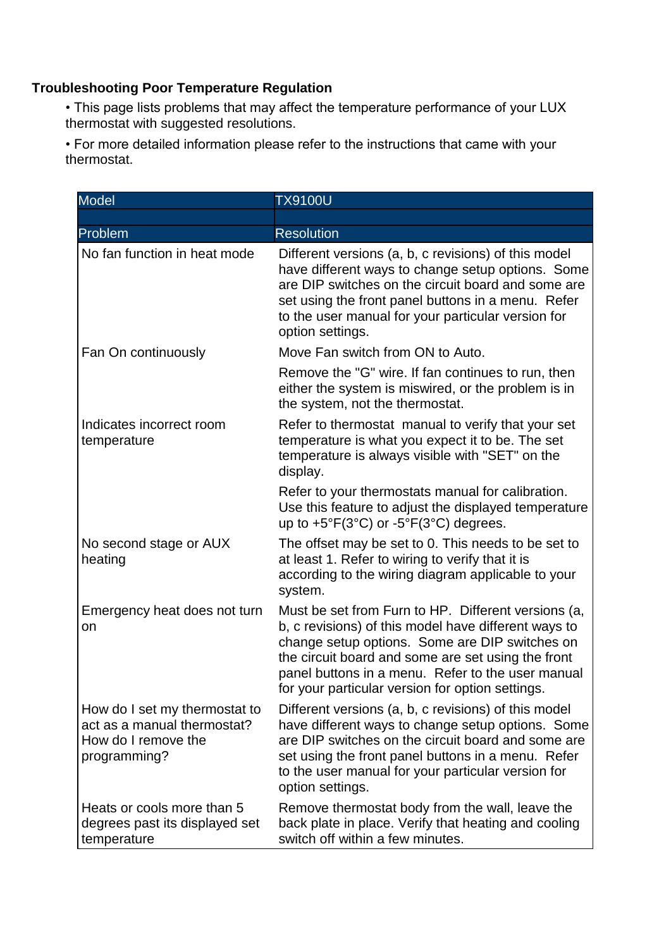## **Troubleshooting Poor Temperature Regulation**

• This page lists problems that may affect the temperature performance of your LUX thermostat with suggested resolutions.

• For more detailed information please refer to the instructions that came with your thermostat.

| Model                                                                                               | <b>TX9100U</b>                                                                                                                                                                                                                                                                                                               |
|-----------------------------------------------------------------------------------------------------|------------------------------------------------------------------------------------------------------------------------------------------------------------------------------------------------------------------------------------------------------------------------------------------------------------------------------|
|                                                                                                     |                                                                                                                                                                                                                                                                                                                              |
| Problem                                                                                             | <b>Resolution</b>                                                                                                                                                                                                                                                                                                            |
| No fan function in heat mode                                                                        | Different versions (a, b, c revisions) of this model<br>have different ways to change setup options. Some<br>are DIP switches on the circuit board and some are<br>set using the front panel buttons in a menu. Refer<br>to the user manual for your particular version for<br>option settings.                              |
| Fan On continuously                                                                                 | Move Fan switch from ON to Auto.                                                                                                                                                                                                                                                                                             |
|                                                                                                     | Remove the "G" wire. If fan continues to run, then<br>either the system is miswired, or the problem is in<br>the system, not the thermostat.                                                                                                                                                                                 |
| Indicates incorrect room<br>temperature                                                             | Refer to thermostat manual to verify that your set<br>temperature is what you expect it to be. The set<br>temperature is always visible with "SET" on the<br>display.                                                                                                                                                        |
|                                                                                                     | Refer to your thermostats manual for calibration.<br>Use this feature to adjust the displayed temperature<br>up to $+5^{\circ}F(3^{\circ}C)$ or $-5^{\circ}F(3^{\circ}C)$ degrees.                                                                                                                                           |
| No second stage or AUX<br>heating                                                                   | The offset may be set to 0. This needs to be set to<br>at least 1. Refer to wiring to verify that it is<br>according to the wiring diagram applicable to your<br>system.                                                                                                                                                     |
| Emergency heat does not turn<br>on                                                                  | Must be set from Furn to HP. Different versions (a,<br>b, c revisions) of this model have different ways to<br>change setup options. Some are DIP switches on<br>the circuit board and some are set using the front<br>panel buttons in a menu. Refer to the user manual<br>for your particular version for option settings. |
| How do I set my thermostat to<br>act as a manual thermostat?<br>How do I remove the<br>programming? | Different versions (a, b, c revisions) of this model<br>have different ways to change setup options. Some<br>are DIP switches on the circuit board and some are<br>set using the front panel buttons in a menu. Refer<br>to the user manual for your particular version for<br>option settings.                              |
| Heats or cools more than 5<br>degrees past its displayed set<br>temperature                         | Remove thermostat body from the wall, leave the<br>back plate in place. Verify that heating and cooling<br>switch off within a few minutes.                                                                                                                                                                                  |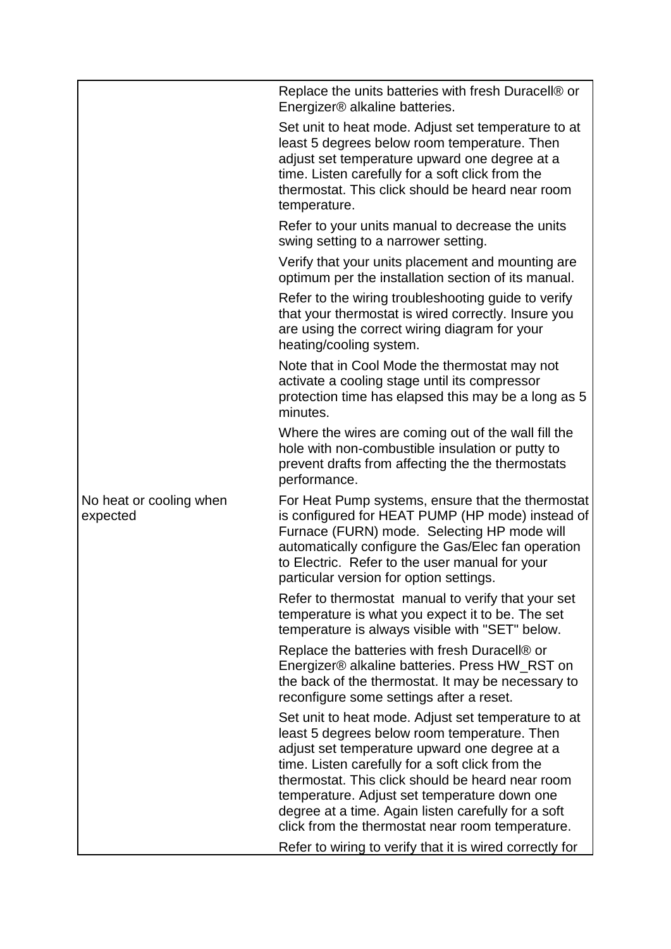|                                     | Replace the units batteries with fresh Duracell® or<br>Energizer <sup>®</sup> alkaline batteries.                                                                                                                                                                                                                                                                                                                       |
|-------------------------------------|-------------------------------------------------------------------------------------------------------------------------------------------------------------------------------------------------------------------------------------------------------------------------------------------------------------------------------------------------------------------------------------------------------------------------|
|                                     | Set unit to heat mode. Adjust set temperature to at<br>least 5 degrees below room temperature. Then<br>adjust set temperature upward one degree at a<br>time. Listen carefully for a soft click from the<br>thermostat. This click should be heard near room<br>temperature.                                                                                                                                            |
|                                     | Refer to your units manual to decrease the units<br>swing setting to a narrower setting.                                                                                                                                                                                                                                                                                                                                |
|                                     | Verify that your units placement and mounting are<br>optimum per the installation section of its manual.                                                                                                                                                                                                                                                                                                                |
|                                     | Refer to the wiring troubleshooting guide to verify<br>that your thermostat is wired correctly. Insure you<br>are using the correct wiring diagram for your<br>heating/cooling system.                                                                                                                                                                                                                                  |
|                                     | Note that in Cool Mode the thermostat may not<br>activate a cooling stage until its compressor<br>protection time has elapsed this may be a long as 5<br>minutes.                                                                                                                                                                                                                                                       |
|                                     | Where the wires are coming out of the wall fill the<br>hole with non-combustible insulation or putty to<br>prevent drafts from affecting the the thermostats<br>performance.                                                                                                                                                                                                                                            |
| No heat or cooling when<br>expected | For Heat Pump systems, ensure that the thermostat<br>is configured for HEAT PUMP (HP mode) instead of<br>Furnace (FURN) mode. Selecting HP mode will<br>automatically configure the Gas/Elec fan operation<br>to Electric. Refer to the user manual for your<br>particular version for option settings.                                                                                                                 |
|                                     | Refer to thermostat manual to verify that your set<br>temperature is what you expect it to be. The set<br>temperature is always visible with "SET" below.                                                                                                                                                                                                                                                               |
|                                     | Replace the batteries with fresh Duracell® or<br>Energizer® alkaline batteries. Press HW_RST on<br>the back of the thermostat. It may be necessary to<br>reconfigure some settings after a reset.                                                                                                                                                                                                                       |
|                                     | Set unit to heat mode. Adjust set temperature to at<br>least 5 degrees below room temperature. Then<br>adjust set temperature upward one degree at a<br>time. Listen carefully for a soft click from the<br>thermostat. This click should be heard near room<br>temperature. Adjust set temperature down one<br>degree at a time. Again listen carefully for a soft<br>click from the thermostat near room temperature. |
|                                     | Refer to wiring to verify that it is wired correctly for                                                                                                                                                                                                                                                                                                                                                                |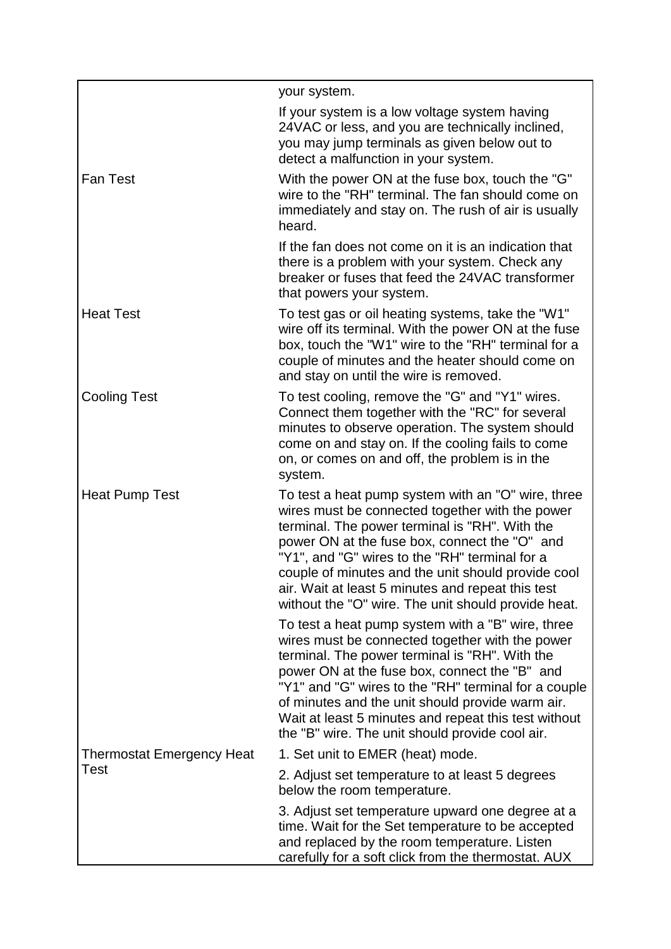|                                  | your system.                                                                                                                                                                                                                                                                                                                                                                                                                   |
|----------------------------------|--------------------------------------------------------------------------------------------------------------------------------------------------------------------------------------------------------------------------------------------------------------------------------------------------------------------------------------------------------------------------------------------------------------------------------|
|                                  | If your system is a low voltage system having<br>24VAC or less, and you are technically inclined,<br>you may jump terminals as given below out to<br>detect a malfunction in your system.                                                                                                                                                                                                                                      |
| <b>Fan Test</b>                  | With the power ON at the fuse box, touch the "G"<br>wire to the "RH" terminal. The fan should come on<br>immediately and stay on. The rush of air is usually<br>heard.                                                                                                                                                                                                                                                         |
|                                  | If the fan does not come on it is an indication that<br>there is a problem with your system. Check any<br>breaker or fuses that feed the 24VAC transformer<br>that powers your system.                                                                                                                                                                                                                                         |
| <b>Heat Test</b>                 | To test gas or oil heating systems, take the "W1"<br>wire off its terminal. With the power ON at the fuse<br>box, touch the "W1" wire to the "RH" terminal for a<br>couple of minutes and the heater should come on<br>and stay on until the wire is removed.                                                                                                                                                                  |
| <b>Cooling Test</b>              | To test cooling, remove the "G" and "Y1" wires.<br>Connect them together with the "RC" for several<br>minutes to observe operation. The system should<br>come on and stay on. If the cooling fails to come<br>on, or comes on and off, the problem is in the<br>system.                                                                                                                                                        |
| <b>Heat Pump Test</b>            | To test a heat pump system with an "O" wire, three<br>wires must be connected together with the power<br>terminal. The power terminal is "RH". With the<br>power ON at the fuse box, connect the "O" and<br>"Y1", and "G" wires to the "RH" terminal for a<br>couple of minutes and the unit should provide cool<br>air. Wait at least 5 minutes and repeat this test<br>without the "O" wire. The unit should provide heat.   |
|                                  | To test a heat pump system with a "B" wire, three<br>wires must be connected together with the power<br>terminal. The power terminal is "RH". With the<br>power ON at the fuse box, connect the "B" and<br>"Y1" and "G" wires to the "RH" terminal for a couple<br>of minutes and the unit should provide warm air.<br>Wait at least 5 minutes and repeat this test without<br>the "B" wire. The unit should provide cool air. |
| <b>Thermostat Emergency Heat</b> | 1. Set unit to EMER (heat) mode.                                                                                                                                                                                                                                                                                                                                                                                               |
| Test                             | 2. Adjust set temperature to at least 5 degrees<br>below the room temperature.                                                                                                                                                                                                                                                                                                                                                 |
|                                  | 3. Adjust set temperature upward one degree at a<br>time. Wait for the Set temperature to be accepted<br>and replaced by the room temperature. Listen<br>carefully for a soft click from the thermostat. AUX                                                                                                                                                                                                                   |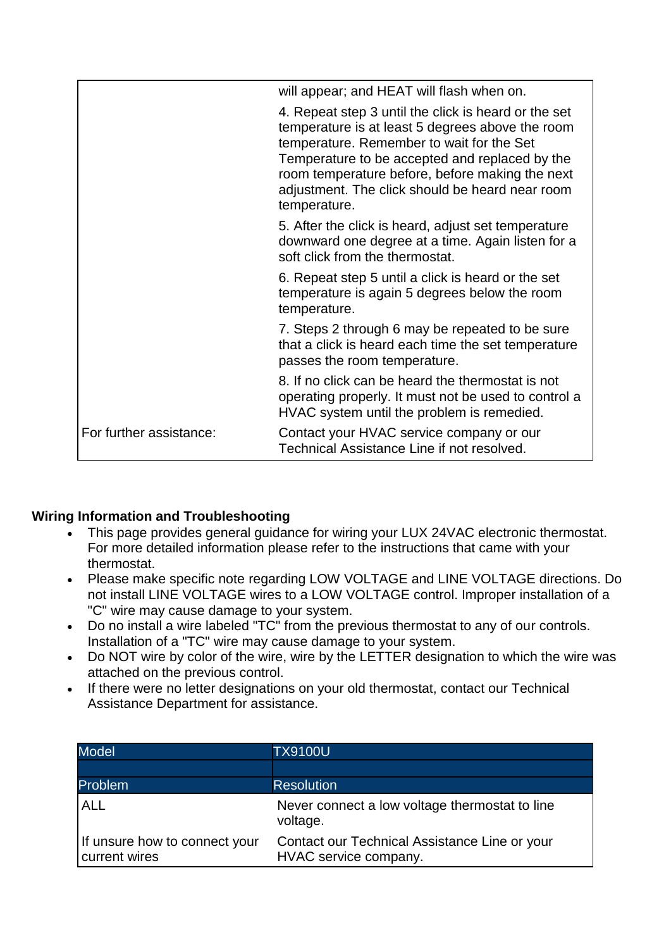|                         | will appear; and HEAT will flash when on.                                                                                                                                                                                                                                                                                     |
|-------------------------|-------------------------------------------------------------------------------------------------------------------------------------------------------------------------------------------------------------------------------------------------------------------------------------------------------------------------------|
|                         | 4. Repeat step 3 until the click is heard or the set<br>temperature is at least 5 degrees above the room<br>temperature. Remember to wait for the Set<br>Temperature to be accepted and replaced by the<br>room temperature before, before making the next<br>adjustment. The click should be heard near room<br>temperature. |
|                         | 5. After the click is heard, adjust set temperature<br>downward one degree at a time. Again listen for a<br>soft click from the thermostat.                                                                                                                                                                                   |
|                         | 6. Repeat step 5 until a click is heard or the set<br>temperature is again 5 degrees below the room<br>temperature.                                                                                                                                                                                                           |
|                         | 7. Steps 2 through 6 may be repeated to be sure<br>that a click is heard each time the set temperature<br>passes the room temperature.                                                                                                                                                                                        |
|                         | 8. If no click can be heard the thermostat is not<br>operating properly. It must not be used to control a<br>HVAC system until the problem is remedied.                                                                                                                                                                       |
| For further assistance: | Contact your HVAC service company or our<br>Technical Assistance Line if not resolved.                                                                                                                                                                                                                                        |

## **Wiring Information and Troubleshooting**

- This page provides general guidance for wiring your LUX 24VAC electronic thermostat. For more detailed information please refer to the instructions that came with your thermostat.
- Please make specific note regarding LOW VOLTAGE and LINE VOLTAGE directions. Do not install LINE VOLTAGE wires to a LOW VOLTAGE control. Improper installation of a "C" wire may cause damage to your system.
- Do no install a wire labeled "TC" from the previous thermostat to any of our controls. Installation of a "TC" wire may cause damage to your system.
- Do NOT wire by color of the wire, wire by the LETTER designation to which the wire was attached on the previous control.
- If there were no letter designations on your old thermostat, contact our Technical Assistance Department for assistance.

| <b>Model</b>                                   | <b>TX9100U</b>                                                         |
|------------------------------------------------|------------------------------------------------------------------------|
|                                                |                                                                        |
| <b>Problem</b>                                 | <b>Resolution</b>                                                      |
| <b>ALL</b>                                     | Never connect a low voltage thermostat to line<br>voltage.             |
| If unsure how to connect your<br>current wires | Contact our Technical Assistance Line or your<br>HVAC service company. |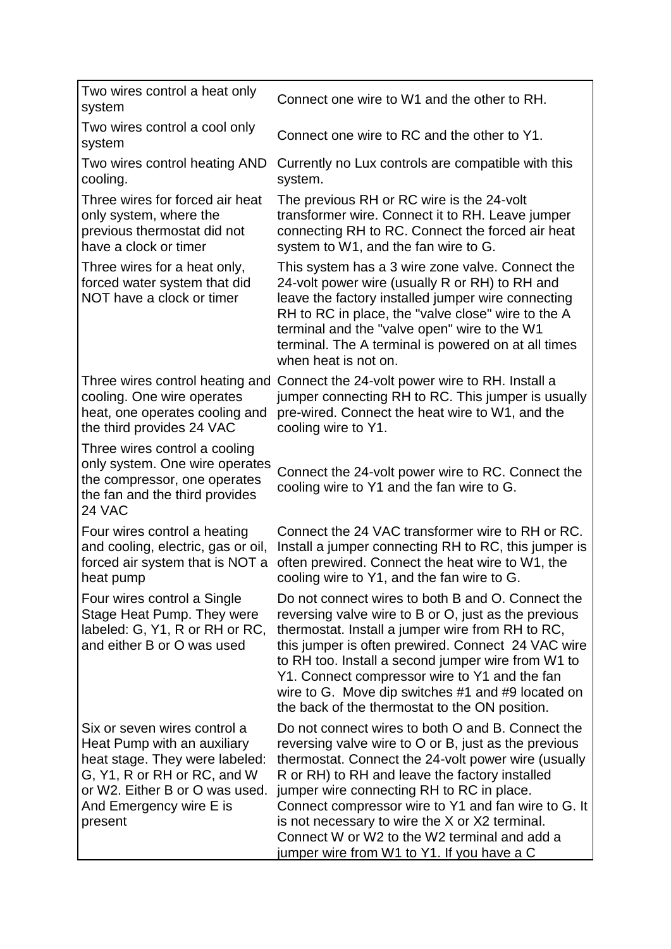| Two wires control a heat only<br>system                                                                                                                                                              | Connect one wire to W1 and the other to RH.                                                                                                                                                                                                                                                                                                                                                                                                                            |
|------------------------------------------------------------------------------------------------------------------------------------------------------------------------------------------------------|------------------------------------------------------------------------------------------------------------------------------------------------------------------------------------------------------------------------------------------------------------------------------------------------------------------------------------------------------------------------------------------------------------------------------------------------------------------------|
| Two wires control a cool only<br>system                                                                                                                                                              | Connect one wire to RC and the other to Y1.                                                                                                                                                                                                                                                                                                                                                                                                                            |
| Two wires control heating AND<br>cooling.                                                                                                                                                            | Currently no Lux controls are compatible with this<br>system.                                                                                                                                                                                                                                                                                                                                                                                                          |
| Three wires for forced air heat<br>only system, where the<br>previous thermostat did not<br>have a clock or timer                                                                                    | The previous RH or RC wire is the 24-volt<br>transformer wire. Connect it to RH. Leave jumper<br>connecting RH to RC. Connect the forced air heat<br>system to W1, and the fan wire to G.                                                                                                                                                                                                                                                                              |
| Three wires for a heat only,<br>forced water system that did<br>NOT have a clock or timer                                                                                                            | This system has a 3 wire zone valve. Connect the<br>24-volt power wire (usually R or RH) to RH and<br>leave the factory installed jumper wire connecting<br>RH to RC in place, the "valve close" wire to the A<br>terminal and the "valve open" wire to the W1<br>terminal. The A terminal is powered on at all times<br>when heat is not on.                                                                                                                          |
| Three wires control heating and<br>cooling. One wire operates<br>heat, one operates cooling and<br>the third provides 24 VAC                                                                         | Connect the 24-volt power wire to RH. Install a<br>jumper connecting RH to RC. This jumper is usually<br>pre-wired. Connect the heat wire to W1, and the<br>cooling wire to Y1.                                                                                                                                                                                                                                                                                        |
| Three wires control a cooling<br>only system. One wire operates<br>the compressor, one operates<br>the fan and the third provides<br>24 VAC                                                          | Connect the 24-volt power wire to RC. Connect the<br>cooling wire to Y1 and the fan wire to G.                                                                                                                                                                                                                                                                                                                                                                         |
| Four wires control a heating<br>and cooling, electric, gas or oil,<br>forced air system that is NOT a<br>heat pump                                                                                   | Connect the 24 VAC transformer wire to RH or RC.<br>Install a jumper connecting RH to RC, this jumper is<br>often prewired. Connect the heat wire to W1, the<br>cooling wire to Y1, and the fan wire to G.                                                                                                                                                                                                                                                             |
| Four wires control a Single<br>Stage Heat Pump. They were<br>labeled: G, Y1, R or RH or RC,<br>and either B or O was used                                                                            | Do not connect wires to both B and O. Connect the<br>reversing valve wire to B or O, just as the previous<br>thermostat. Install a jumper wire from RH to RC,<br>this jumper is often prewired. Connect 24 VAC wire<br>to RH too. Install a second jumper wire from W1 to<br>Y1. Connect compressor wire to Y1 and the fan<br>wire to G. Move dip switches #1 and #9 located on<br>the back of the thermostat to the ON position.                                      |
| Six or seven wires control a<br>Heat Pump with an auxiliary<br>heat stage. They were labeled:<br>G, Y1, R or RH or RC, and W<br>or W2. Either B or O was used.<br>And Emergency wire E is<br>present | Do not connect wires to both O and B. Connect the<br>reversing valve wire to O or B, just as the previous<br>thermostat. Connect the 24-volt power wire (usually<br>R or RH) to RH and leave the factory installed<br>jumper wire connecting RH to RC in place.<br>Connect compressor wire to Y1 and fan wire to G. It<br>is not necessary to wire the X or X2 terminal.<br>Connect W or W2 to the W2 terminal and add a<br>jumper wire from W1 to Y1. If you have a C |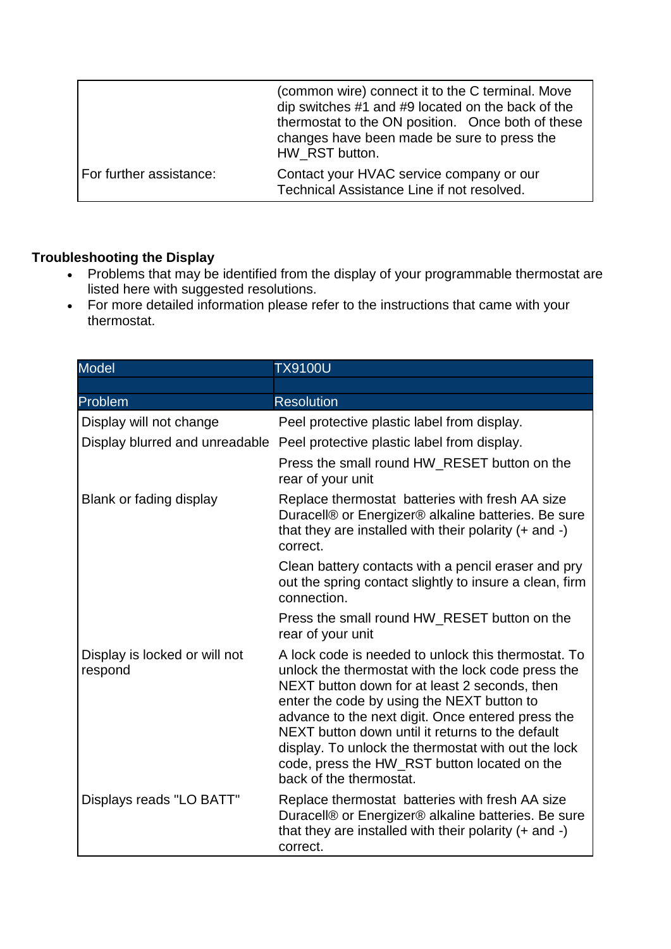|                         | (common wire) connect it to the C terminal. Move<br>dip switches #1 and #9 located on the back of the<br>thermostat to the ON position. Once both of these<br>changes have been made be sure to press the<br>HW RST button. |
|-------------------------|-----------------------------------------------------------------------------------------------------------------------------------------------------------------------------------------------------------------------------|
| For further assistance: | Contact your HVAC service company or our<br>Technical Assistance Line if not resolved.                                                                                                                                      |

## **Troubleshooting the Display**

- Problems that may be identified from the display of your programmable thermostat are listed here with suggested resolutions.
- For more detailed information please refer to the instructions that came with your thermostat.

| <b>Model</b>                             | <b>TX9100U</b>                                                                                                                                                                                                                                                                                                                                                                                                                                      |
|------------------------------------------|-----------------------------------------------------------------------------------------------------------------------------------------------------------------------------------------------------------------------------------------------------------------------------------------------------------------------------------------------------------------------------------------------------------------------------------------------------|
|                                          |                                                                                                                                                                                                                                                                                                                                                                                                                                                     |
| Problem                                  | <b>Resolution</b>                                                                                                                                                                                                                                                                                                                                                                                                                                   |
| Display will not change                  | Peel protective plastic label from display.                                                                                                                                                                                                                                                                                                                                                                                                         |
| Display blurred and unreadable           | Peel protective plastic label from display.                                                                                                                                                                                                                                                                                                                                                                                                         |
|                                          | Press the small round HW_RESET button on the<br>rear of your unit                                                                                                                                                                                                                                                                                                                                                                                   |
| Blank or fading display                  | Replace thermostat batteries with fresh AA size<br>Duracell® or Energizer® alkaline batteries. Be sure<br>that they are installed with their polarity $(+)$ and $-)$<br>correct.                                                                                                                                                                                                                                                                    |
|                                          | Clean battery contacts with a pencil eraser and pry<br>out the spring contact slightly to insure a clean, firm<br>connection.                                                                                                                                                                                                                                                                                                                       |
|                                          | Press the small round HW RESET button on the<br>rear of your unit                                                                                                                                                                                                                                                                                                                                                                                   |
| Display is locked or will not<br>respond | A lock code is needed to unlock this thermostat. To<br>unlock the thermostat with the lock code press the<br>NEXT button down for at least 2 seconds, then<br>enter the code by using the NEXT button to<br>advance to the next digit. Once entered press the<br>NEXT button down until it returns to the default<br>display. To unlock the thermostat with out the lock<br>code, press the HW_RST button located on the<br>back of the thermostat. |
| Displays reads "LO BATT"                 | Replace thermostat batteries with fresh AA size<br>Duracell® or Energizer® alkaline batteries. Be sure<br>that they are installed with their polarity $(+)$ and $-)$<br>correct.                                                                                                                                                                                                                                                                    |